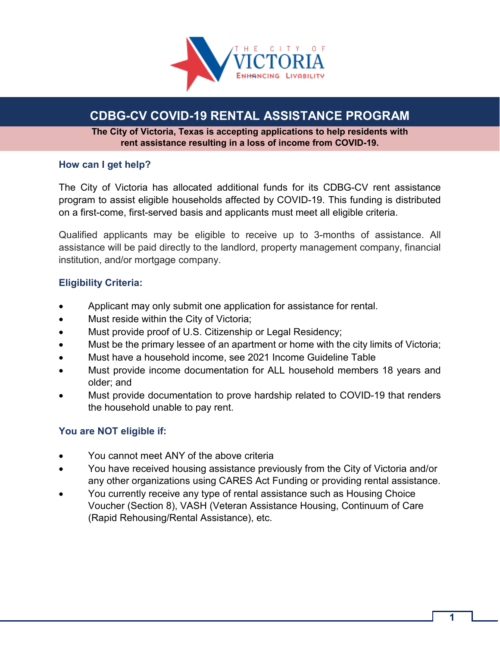

# **CDBG-CV COVID-19 RENTAL ASSISTANCE PROGRAM**

**The City of Victoria, Texas is accepting applications to help residents with rent assistance resulting in a loss of income from COVID-19.**

### **How can I get help?**

The City of Victoria has allocated additional funds for its CDBG-CV rent assistance program to assist eligible households affected by COVID-19. This funding is distributed on a first-come, first-served basis and applicants must meet all eligible criteria.

Qualified applicants may be eligible to receive up to 3-months of assistance. All assistance will be paid directly to the landlord, property management company, financial institution, and/or mortgage company.

### **Eligibility Criteria:**

- Applicant may only submit one application for assistance for rental.
- Must reside within the City of Victoria;
- Must provide proof of U.S. Citizenship or Legal Residency;
- Must be the primary lessee of an apartment or home with the city limits of Victoria;
- Must have a household income, see 2021 Income Guideline Table
- Must provide income documentation for ALL household members 18 years and older; and
- Must provide documentation to prove hardship related to COVID-19 that renders the household unable to pay rent.

### **You are NOT eligible if:**

- You cannot meet ANY of the above criteria
- You have received housing assistance previously from the City of Victoria and/or any other organizations using CARES Act Funding or providing rental assistance.
- You currently receive any type of rental assistance such as Housing Choice Voucher (Section 8), VASH (Veteran Assistance Housing, Continuum of Care (Rapid Rehousing/Rental Assistance), etc.

**1**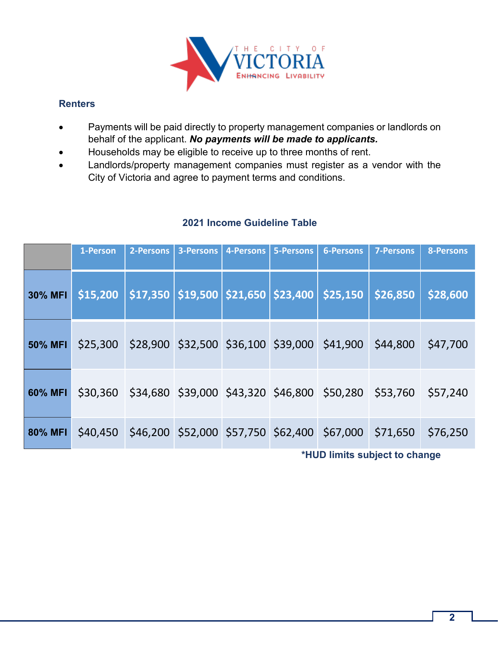

### **Renters**

- Payments will be paid directly to property management companies or landlords on behalf of the applicant. *No payments will be made to applicants.*
- Households may be eligible to receive up to three months of rent.
- Landlords/property management companies must register as a vendor with the City of Victoria and agree to payment terms and conditions.

|                | 1-Person | 2-Persons | 3-Persons | 4-Persons | 5-Persons | <b>6-Persons</b>                                               | 7-Persons | <b>8-Persons</b> |
|----------------|----------|-----------|-----------|-----------|-----------|----------------------------------------------------------------|-----------|------------------|
| <b>30% MFI</b> | \$15,200 |           |           |           |           | \$17,350   \$19,500   \$21,650   \$23,400   \$25,150           | \$26,850  | \$28,600         |
| <b>50% MFI</b> | \$25,300 |           |           |           |           | \$28,900 \$32,500 \$36,100 \$39,000 \$41,900                   | \$44,800  | \$47,700         |
| 60% MFI        |          |           |           |           |           | \$30,360 \$34,680 \$39,000 \$43,320 \$46,800 \$50,280 \$53,760 |           | \$57,240         |
| 80% MFI        |          |           |           |           |           | \$40,450 \$46,200 \$52,000 \$57,750 \$62,400 \$67,000          | \$71,650  | \$76,250         |

### **2021 Income Guideline Table**

**\*HUD limits subject to change**